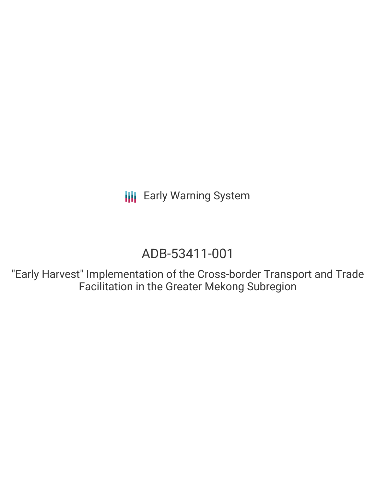**III** Early Warning System

# ADB-53411-001

"Early Harvest" Implementation of the Cross-border Transport and Trade Facilitation in the Greater Mekong Subregion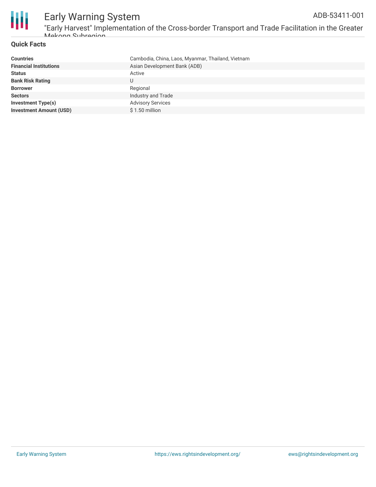

### **Quick Facts**

| <b>Countries</b>               | Cambodia, China, Laos, Myanmar, Thailand, Vietnam |
|--------------------------------|---------------------------------------------------|
| <b>Financial Institutions</b>  | Asian Development Bank (ADB)                      |
| <b>Status</b>                  | Active                                            |
| <b>Bank Risk Rating</b>        | U                                                 |
| <b>Borrower</b>                | Regional                                          |
| <b>Sectors</b>                 | Industry and Trade                                |
| <b>Investment Type(s)</b>      | <b>Advisory Services</b>                          |
| <b>Investment Amount (USD)</b> | $$1.50$ million                                   |
|                                |                                                   |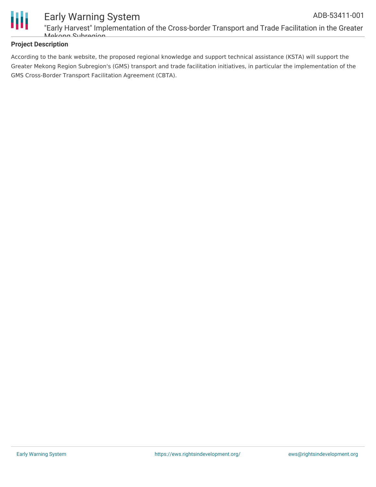

### **Project Description**

According to the bank website, the proposed regional knowledge and support technical assistance (KSTA) will support the Greater Mekong Region Subregion's (GMS) transport and trade facilitation initiatives, in particular the implementation of the GMS Cross-Border Transport Facilitation Agreement (CBTA).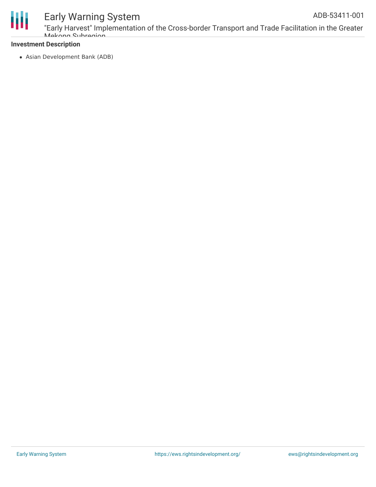

## Early Warning System

"Early Harvest" Implementation of the Cross-border Transport and Trade Facilitation in the Greater Mekong Subregion

#### **Investment Description**

Asian Development Bank (ADB)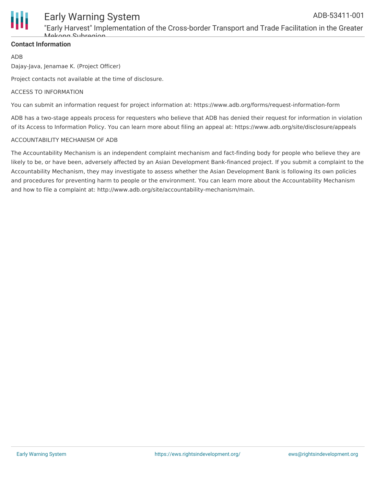

### Early Warning System

"Early Harvest" Implementation of the Cross-border Transport and Trade Facilitation in the Greater Mokong Subrogion

### **Contact Information**

ADB

Dajay-Java, Jenamae K. (Project Officer)

Project contacts not available at the time of disclosure.

#### ACCESS TO INFORMATION

You can submit an information request for project information at: https://www.adb.org/forms/request-information-form

ADB has a two-stage appeals process for requesters who believe that ADB has denied their request for information in violation of its Access to Information Policy. You can learn more about filing an appeal at: https://www.adb.org/site/disclosure/appeals

#### ACCOUNTABILITY MECHANISM OF ADB

The Accountability Mechanism is an independent complaint mechanism and fact-finding body for people who believe they are likely to be, or have been, adversely affected by an Asian Development Bank-financed project. If you submit a complaint to the Accountability Mechanism, they may investigate to assess whether the Asian Development Bank is following its own policies and procedures for preventing harm to people or the environment. You can learn more about the Accountability Mechanism and how to file a complaint at: http://www.adb.org/site/accountability-mechanism/main.